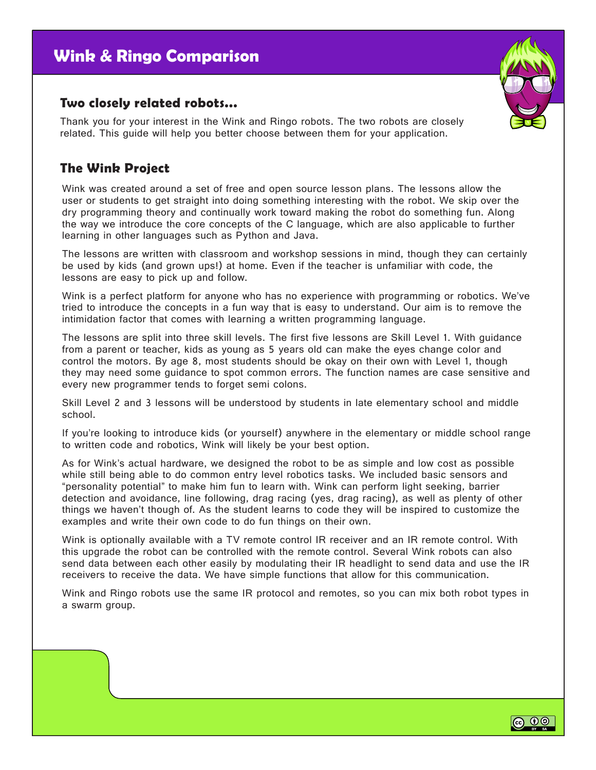# **Wink & Ringo Comparison**

#### **Two closely related robots...**

Thank you for your interest in the Wink and Ringo robots. The two robots are closely related. This guide will help you better choose between them for your application.

### **The Wink Project**

Wink was created around a set of free and open source lesson plans. The lessons allow the user or students to get straight into doing something interesting with the robot. We skip over the dry programming theory and continually work toward making the robot do something fun. Along the way we introduce the core concepts of the C language, which are also applicable to further learning in other languages such as Python and Java.

The lessons are written with classroom and workshop sessions in mind, though they can certainly be used by kids (and grown ups!) at home. Even if the teacher is unfamiliar with code, the lessons are easy to pick up and follow.

Wink is a perfect platform for anyone who has no experience with programming or robotics. We've tried to introduce the concepts in a fun way that is easy to understand. Our aim is to remove the intimidation factor that comes with learning a written programming language.

The lessons are split into three skill levels. The first five lessons are Skill Level 1. With guidance from a parent or teacher, kids as young as 5 years old can make the eyes change color and control the motors. By age 8, most students should be okay on their own with Level 1, though they may need some guidance to spot common errors. The function names are case sensitive and every new programmer tends to forget semi colons.

Skill Level 2 and 3 lessons will be understood by students in late elementary school and middle school.

If you're looking to introduce kids (or yourself) anywhere in the elementary or middle school range to written code and robotics, Wink will likely be your best option.

As for Wink's actual hardware, we designed the robot to be as simple and low cost as possible while still being able to do common entry level robotics tasks. We included basic sensors and "personality potential" to make him fun to learn with. Wink can perform light seeking, barrier detection and avoidance, line following, drag racing (yes, drag racing), as well as plenty of other things we haven't though of. As the student learns to code they will be inspired to customize the examples and write their own code to do fun things on their own.

Wink is optionally available with a TV remote control IR receiver and an IR remote control. With this upgrade the robot can be controlled with the remote control. Several Wink robots can also send data between each other easily by modulating their IR headlight to send data and use the IR receivers to receive the data. We have simple functions that allow for this communication.

Wink and Ringo robots use the same IR protocol and remotes, so you can mix both robot types in a swarm group.



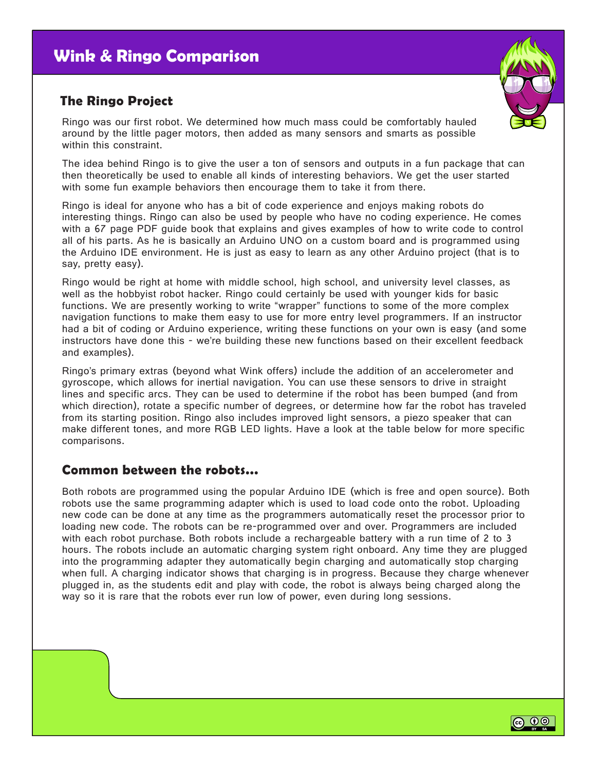#### **The Ringo Project**

Ringo was our first robot. We determined how much mass could be comfortably hauled around by the little pager motors, then added as many sensors and smarts as possible within this constraint.

The idea behind Ringo is to give the user a ton of sensors and outputs in a fun package that can then theoretically be used to enable all kinds of interesting behaviors. We get the user started with some fun example behaviors then encourage them to take it from there.

Ringo is ideal for anyone who has a bit of code experience and enjoys making robots do interesting things. Ringo can also be used by people who have no coding experience. He comes with a 67 page PDF guide book that explains and gives examples of how to write code to control all of his parts. As he is basically an Arduino UNO on a custom board and is programmed using the Arduino IDE environment. He is just as easy to learn as any other Arduino project (that is to say, pretty easy).

Ringo would be right at home with middle school, high school, and university level classes, as well as the hobbyist robot hacker. Ringo could certainly be used with younger kids for basic functions. We are presently working to write "wrapper" functions to some of the more complex navigation functions to make them easy to use for more entry level programmers. If an instructor had a bit of coding or Arduino experience, writing these functions on your own is easy (and some instructors have done this - we're building these new functions based on their excellent feedback and examples).

Ringo's primary extras (beyond what Wink offers) include the addition of an accelerometer and gyroscope, which allows for inertial navigation. You can use these sensors to drive in straight lines and specific arcs. They can be used to determine if the robot has been bumped (and from which direction), rotate a specific number of degrees, or determine how far the robot has traveled from its starting position. Ringo also includes improved light sensors, a piezo speaker that can make different tones, and more RGB LED lights. Have a look at the table below for more specific comparisons.

#### **Common between the robots...**

Both robots are programmed using the popular Arduino IDE (which is free and open source). Both robots use the same programming adapter which is used to load code onto the robot. Uploading new code can be done at any time as the programmers automatically reset the processor prior to loading new code. The robots can be re-programmed over and over. Programmers are included with each robot purchase. Both robots include a rechargeable battery with a run time of 2 to 3 hours. The robots include an automatic charging system right onboard. Any time they are plugged into the programming adapter they automatically begin charging and automatically stop charging when full. A charging indicator shows that charging is in progress. Because they charge whenever plugged in, as the students edit and play with code, the robot is always being charged along the way so it is rare that the robots ever run low of power, even during long sessions.



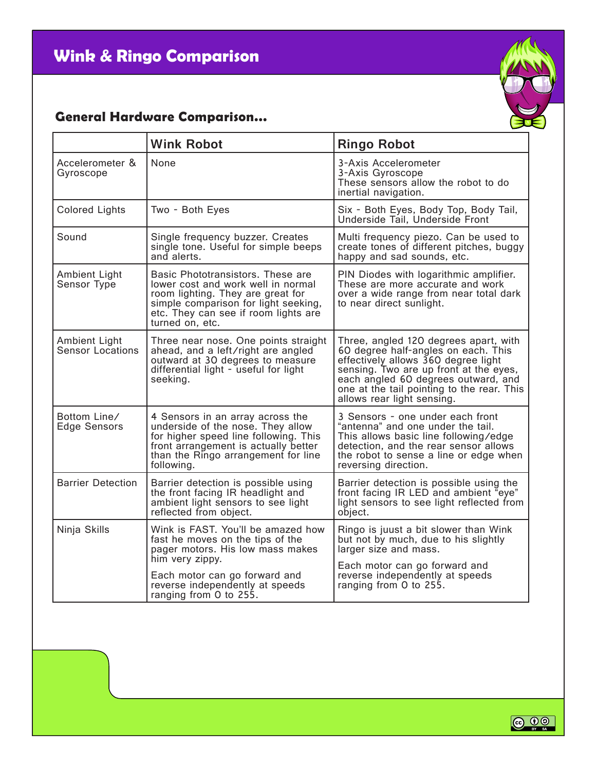## **General Hardware Comparison...**

|                                     | <b>Wink Robot</b>                                                                                                                                                                                                           | <b>Ringo Robot</b>                                                                                                                                                                                                                                                               |
|-------------------------------------|-----------------------------------------------------------------------------------------------------------------------------------------------------------------------------------------------------------------------------|----------------------------------------------------------------------------------------------------------------------------------------------------------------------------------------------------------------------------------------------------------------------------------|
| Accelerometer &<br>Gyroscope        | None                                                                                                                                                                                                                        | 3-Axis Accelerometer<br>3-Axis Gyroscope<br>These sensors allow the robot to do<br>inertial navigation.                                                                                                                                                                          |
| <b>Colored Lights</b>               | Two - Both Eyes                                                                                                                                                                                                             | Six - Both Eyes, Body Top, Body Tail,<br>Underside Tail, Underside Front                                                                                                                                                                                                         |
| Sound                               | Single frequency buzzer. Creates<br>single tone. Useful for simple beeps<br>and alerts.                                                                                                                                     | Multi frequency piezo. Can be used to<br>create tones of different pitches, buggy<br>happy and sad sounds, etc.                                                                                                                                                                  |
| Ambient Light<br>Sensor Type        | Basic Phototransistors. These are<br>lower cost and work well in normal<br>room lighting. They are great for<br>simple comparison for light seeking,<br>etc. They can see if room lights are<br>turned on, etc.             | PIN Diodes with logarithmic amplifier.<br>These are more accurate and work<br>over a wide range from near total dark<br>to near direct sunlight.                                                                                                                                 |
| Ambient Light<br>Sensor Locations   | Three near nose. One points straight<br>ahead, and a left/right are angled<br>outward at 30 degrees to measure<br>differential light - useful for light<br>seeking.                                                         | Three, angled 120 degrees apart, with<br>60 degree half-angles on each. This<br>effectively allows 360 degree light<br>sensing. Two are up front at the eyes,<br>each angled 60 degrees outward, and<br>one at the tail pointing to the rear. This<br>allows rear light sensing. |
| Bottom Line/<br><b>Edge Sensors</b> | 4 Sensors in an array across the<br>underside of the nose. They allow<br>for higher speed line following. This<br>front arrangement is actually better<br>than the Ringo arrangement for line<br>following.                 | 3 Sensors - one under each front<br>"antenna" and one under the tail.<br>This allows basic line following/edge<br>detection, and the rear sensor allows<br>the robot to sense a line or edge when<br>reversing direction.                                                        |
| <b>Barrier Detection</b>            | Barrier detection is possible using<br>the front facing IR headlight and<br>ambient light sensors to see light<br>reflected from object.                                                                                    | Barrier detection is possible using the<br>front facing IR LED and ambient "eye"<br>light sensors to see light reflected from<br>object.                                                                                                                                         |
| Ninja Skills                        | Wink is FAST. You'll be amazed how<br>fast he moves on the tips of the<br>pager motors. His low mass makes<br>him very zippy.<br>Each motor can go forward and<br>reverse independently at speeds<br>ranging from 0 to 255. | Ringo is juust a bit slower than Wink<br>but not by much, due to his slightly<br>larger size and mass.<br>Each motor can go forward and<br>reverse independently at speeds<br>ranging from 0 to 255.                                                                             |